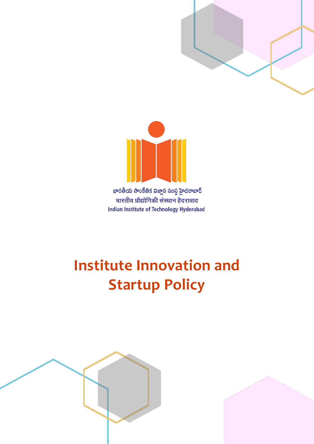



భారతీయ సాంకేతిక విజ్ఞాన సంస్థ హైదరాబాద్ भारतीय प्रौद्योगिकी संस्थान हैदराबाद **Indian Institute of Technology Hyderabad** 

# **Institute Innovation and Startup Policy**

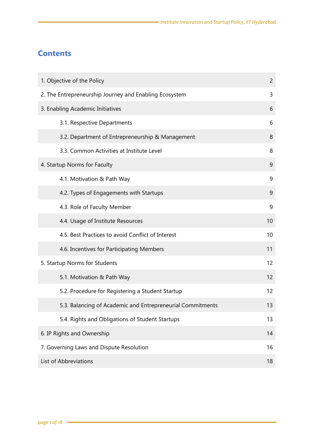### **Contents**

| 1. Objective of the Policy                                 |    |  |  |
|------------------------------------------------------------|----|--|--|
| 2. The Entrepreneurship Journey and Enabling Ecosystem     |    |  |  |
| 3. Enabling Academic Initiatives                           |    |  |  |
| 3.1. Respective Departments                                | 6  |  |  |
| 3.2. Department of Entrepreneurship & Management           | 8  |  |  |
| 3.3. Common Activities at Institute Level                  | 8  |  |  |
| 4. Startup Norms for Faculty                               | 9  |  |  |
| 4.1. Motivation & Path Way                                 | 9  |  |  |
| 4.2. Types of Engagements with Startups                    | 9  |  |  |
| 4.3. Role of Faculty Member                                | 9  |  |  |
| 4.4. Usage of Institute Resources                          | 10 |  |  |
| 4.5. Best Practices to avoid Conflict of Interest          | 10 |  |  |
| 4.6. Incentives for Participating Members                  | 11 |  |  |
| 5. Startup Norms for Students                              | 12 |  |  |
| 5.1. Motivation & Path Way                                 | 12 |  |  |
| 5.2. Procedure for Registering a Student Startup           | 12 |  |  |
| 5.3. Balancing of Academic and Entrepreneurial Commitments | 13 |  |  |
| 5.4. Rights and Obligations of Student Startups            | 13 |  |  |
| 6. IP Rights and Ownership                                 | 14 |  |  |
| 7. Governing Laws and Dispute Resolution                   |    |  |  |
| List of Abbreviations                                      |    |  |  |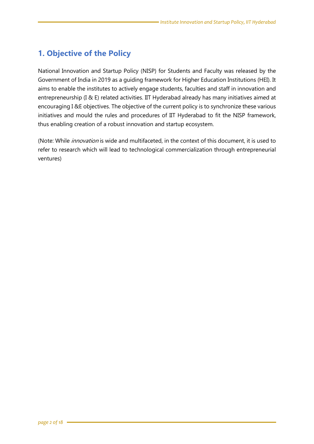### <span id="page-2-0"></span>**1. Objective of the Policy**

National Innovation and Startup Policy (NISP) for Students and Faculty was released by the Government of India in 2019 as a guiding framework for Higher Education Institutions (HEI). It aims to enable the institutes to actively engage students, faculties and staff in innovation and entrepreneurship (I & E) related activities. IIT Hyderabad already has many initiatives aimed at encouraging I &E objectives. The objective of the current policy is to synchronize these various initiatives and mould the rules and procedures of IIT Hyderabad to fit the NISP framework, thus enabling creation of a robust innovation and startup ecosystem.

<span id="page-2-1"></span>(Note: While *innovation* is wide and multifaceted, in the context of this document, it is used to refer to research which will lead to technological commercialization through entrepreneurial ventures)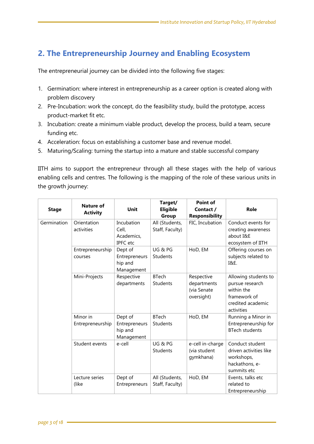### **2. The Entrepreneurship Journey and Enabling Ecosystem**

The entrepreneurial journey can be divided into the following five stages:

- 1. Germination: where interest in entrepreneurship as a career option is created along with problem discovery
- 2. Pre-Incubation: work the concept, do the feasibility study, build the prototype, access product-market fit etc.
- 3. Incubation: create a minimum viable product, develop the process, build a team, secure funding etc.
- 4. Acceleration: focus on establishing a customer base and revenue model.
- 5. Maturing/Scaling: turning the startup into a mature and stable successful company

IITH aims to support the entrepreneur through all these stages with the help of various enabling cells and centres. The following is the mapping of the role of these various units in the growth journey:

| <b>Stage</b> | Nature of<br><b>Activity</b> | Unit                                                 | Target/<br><b>Eligible</b><br>Group | Point of<br>Contact /<br><b>Responsibility</b>         | Role                                                                                                     |
|--------------|------------------------------|------------------------------------------------------|-------------------------------------|--------------------------------------------------------|----------------------------------------------------------------------------------------------------------|
| Germination  | Orientation<br>activities    | Incubation<br>Cell,<br>Academics,<br><b>IPFC</b> etc | All (Students,<br>Staff, Faculty)   | FIC, Incubation                                        | Conduct events for<br>creating awareness<br>about I&E<br>ecosystem of IITH                               |
|              | Entrepreneurship<br>courses  | Dept of<br>Entrepreneurs<br>hip and<br>Management    | UG & PG<br>Students                 | HoD, EM                                                | Offering courses on<br>subjects related to<br><b>I&amp;E.</b>                                            |
|              | Mini-Projects                | Respective<br>departments                            | <b>BTech</b><br>Students            | Respective<br>departments<br>(via Senate<br>oversight) | Allowing students to<br>pursue research<br>within the<br>framework of<br>credited academic<br>activities |
|              | Minor in<br>Entrepreneurship | Dept of<br>Entrepreneurs<br>hip and<br>Management    | <b>BTech</b><br>Students            | HoD, EM                                                | Running a Minor in<br>Entrepreneurship for<br><b>BTech students</b>                                      |
|              | Student events               | e-cell                                               | UG & PG<br>Students                 | e-cell in-charge<br>(via student<br>gymkhana)          | Conduct student<br>driven activities like<br>workshops,<br>hackathons, e-<br>summits etc                 |
|              | Lecture series<br>(like      | Dept of<br>Entrepreneurs                             | All (Students,<br>Staff, Faculty)   | HoD, EM                                                | Events, talks etc<br>related to<br>Entrepreneurship                                                      |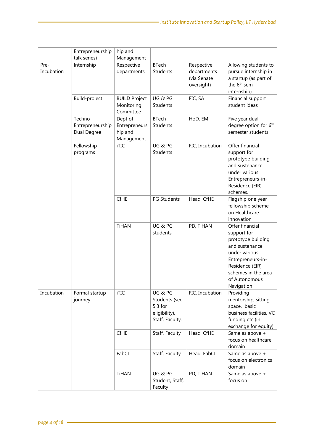|                    | Entrepreneurship<br>talk series)           | hip and<br>Management                             |                                                                       |                                                        |                                                                                                                                                                                       |
|--------------------|--------------------------------------------|---------------------------------------------------|-----------------------------------------------------------------------|--------------------------------------------------------|---------------------------------------------------------------------------------------------------------------------------------------------------------------------------------------|
| Pre-<br>Incubation | Internship                                 | Respective<br>departments                         | <b>BTech</b><br>Students                                              | Respective<br>departments<br>(via Senate<br>oversight) | Allowing students to<br>pursue internship in<br>a startup (as part of<br>the 6 <sup>th</sup> sem<br>internship).                                                                      |
|                    | Build-project                              | <b>BUILD Project</b><br>Monitoring<br>Committee   | UG&PG<br><b>Students</b>                                              | FIC, SA                                                | Financial support<br>student ideas                                                                                                                                                    |
|                    | Techno-<br>Entrepreneurship<br>Dual Degree | Dept of<br>Entrepreneurs<br>hip and<br>Management | <b>BTech</b><br>Students                                              | HoD, EM                                                | Five year dual<br>degree option for 6th<br>semester students                                                                                                                          |
|                    | Fellowship<br>programs                     | iTIC                                              | UG&PG<br>Students                                                     | FIC, Incubation                                        | Offer financial<br>support for<br>prototype building<br>and sustenance<br>under various<br>Entrepreneurs-in-<br>Residence (EIR)<br>schemes.                                           |
|                    |                                            | CfHE                                              | <b>PG Students</b>                                                    | Head, CfHE                                             | Flagship one year<br>fellowship scheme<br>on Healthcare<br>innovation                                                                                                                 |
|                    |                                            | <b>TiHAN</b>                                      | UG&PG<br>students                                                     | PD, TiHAN                                              | Offer financial<br>support for<br>prototype building<br>and sustenance<br>under various<br>Entrepreneurs-in-<br>Residence (EIR)<br>schemes in the area<br>of Autonomous<br>Navigation |
| Incubation         | Formal startup<br>journey                  | iTIC                                              | UG&PG<br>Students (see<br>5.3 for<br>eligibility),<br>Staff, Faculty. | FIC, Incubation                                        | Providing<br>mentorship, sitting<br>space, basic<br>business facilities, VC<br>funding etc (in<br>exchange for equity)                                                                |
|                    |                                            | CfHE                                              | Staff, Faculty                                                        | Head, CfHE                                             | Same as above +<br>focus on healthcare<br>domain                                                                                                                                      |
|                    |                                            | FabCI                                             | Staff, Faculty                                                        | Head, FabCI                                            | Same as above +<br>focus on electronics<br>domain                                                                                                                                     |
|                    |                                            | <b>TiHAN</b>                                      | UG & PG<br>Student, Staff,<br>Faculty                                 | PD, TiHAN                                              | Same as above +<br>focus on                                                                                                                                                           |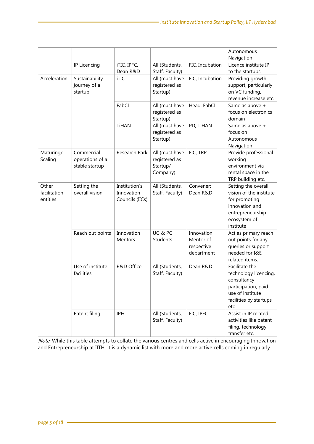|                                   |                                                 |                                                |                                                         |                                                     | Autonomous<br>Navigation                                                                                                           |
|-----------------------------------|-------------------------------------------------|------------------------------------------------|---------------------------------------------------------|-----------------------------------------------------|------------------------------------------------------------------------------------------------------------------------------------|
|                                   | IP Licencing                                    | iTIC, IPFC,                                    | All (Students,                                          | FIC, Incubation                                     | Licence institute IP                                                                                                               |
|                                   |                                                 | Dean R&D                                       | Staff, Faculty)                                         |                                                     | to the startups                                                                                                                    |
| Acceleration                      | Sustainability<br>journey of a<br>startup       | iTIC                                           | All (must have<br>registered as<br>Startup)             | FIC, Incubation                                     | Providing growth<br>support, particularly<br>on VC funding,<br>revenue increase etc.                                               |
|                                   |                                                 | FabCI                                          | All (must have<br>registered as<br>Startup)             | Head, FabCI                                         | Same as above +<br>focus on electronics<br>domain                                                                                  |
|                                   |                                                 | <b>TiHAN</b>                                   | All (must have<br>registered as<br>Startup)             | PD, TiHAN                                           | Same as above +<br>focus on<br>Autonomous<br>Navigation                                                                            |
| Maturing/<br>Scaling              | Commercial<br>operations of a<br>stable startup | Research Park                                  | All (must have<br>registered as<br>Startup/<br>Company) | FIC, TRP                                            | Provide professional<br>working<br>environment via<br>rental space in the<br>TRP building etc.                                     |
| Other<br>facilitation<br>entities | Setting the<br>overall vision                   | Institution's<br>Innovation<br>Councils (IICs) | All (Students,<br>Staff, Faculty)                       | Convener:<br>Dean R&D                               | Setting the overall<br>vision of the institute<br>for promoting<br>innovation and<br>entrepreneurship<br>ecosystem of<br>institute |
|                                   | Reach out points                                | Innovation<br>Mentors                          | UG&PG<br>Students                                       | Innovation<br>Mentor of<br>respective<br>department | Act as primary reach<br>out points for any<br>queries or support<br>needed for I&E<br>related items.                               |
|                                   | Use of institute<br>facilities                  | R&D Office                                     | All (Students,<br>Staff, Faculty)                       | Dean R&D                                            | Facilitate the<br>technology licencing,<br>consultancy<br>participation, paid<br>use of institute<br>facilities by startups<br>etc |
|                                   | Patent filing                                   | <b>IPFC</b>                                    | All (Students,<br>Staff, Faculty)                       | FIC, IPFC                                           | Assist in IP related<br>activities like patent<br>filing, technology<br>transfer etc.                                              |

Note: While this table attempts to collate the various centres and cells active in encouraging Innovation and Entrepreneurship at IITH, it is a dynamic list with more and more active cells coming in regularly.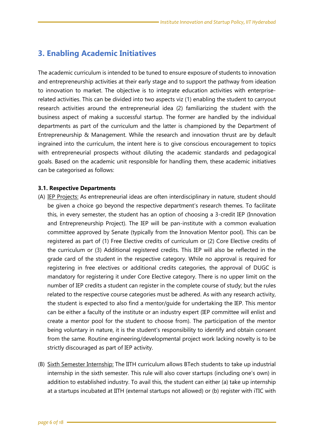### <span id="page-6-0"></span>**3. Enabling Academic Initiatives**

The academic curriculum is intended to be tuned to ensure exposure of students to innovation and entrepreneurship activities at their early stage and to support the pathway from ideation to innovation to market. The objective is to integrate education activities with enterpriserelated activities. This can be divided into two aspects viz (1) enabling the student to carryout research activities around the entrepreneurial idea (2) familiarizing the student with the business aspect of making a successful startup. The former are handled by the individual departments as part of the curriculum and the latter is championed by the Department of Entrepreneurship & Management. While the research and innovation thrust are by default ingrained into the curriculum, the intent here is to give conscious encouragement to topics with entrepreneurial prospects without diluting the academic standards and pedagogical goals. Based on the academic unit responsible for handling them, these academic initiatives can be categorised as follows:

#### <span id="page-6-1"></span>**3.1. Respective Departments**

- (A) IEP Projects: As entrepreneurial ideas are often interdisciplinary in nature, student should be given a choice go beyond the respective department's research themes. To facilitate this, in every semester, the student has an option of choosing a 3-credit IEP (Innovation and Entrepreneurship Project). The IEP will be pan-institute with a common evaluation committee approved by Senate (typically from the Innovation Mentor pool). This can be registered as part of (1) Free Elective credits of curriculum or (2) Core Elective credits of the curriculum or (3) Additional registered credits. This IEP will also be reflected in the grade card of the student in the respective category. While no approval is required for registering in free electives or additional credits categories, the approval of DUGC is mandatory for registering it under Core Elective category. There is no upper limit on the number of IEP credits a student can register in the complete course of study; but the rules related to the respective course categories must be adhered. As with any research activity, the student is expected to also find a mentor/guide for undertaking the IEP. This mentor can be either a faculty of the institute or an industry expert (IEP committee will enlist and create a mentor pool for the student to choose from). The participation of the mentor being voluntary in nature, it is the student's responsibility to identify and obtain consent from the same. Routine engineering/developmental project work lacking novelty is to be strictly discouraged as part of IEP activity.
- (B) Sixth Semester Internship: The IITH curriculum allows BTech students to take up industrial internship in the sixth semester. This rule will also cover startups (including one's own) in addition to established industry. To avail this, the student can either (a) take up internship at a startups incubated at IITH (external startups not allowed) or (b) register with iTIC with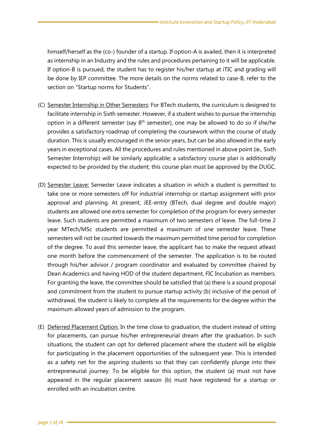himself/herself as the (co-) founder of a startup. If option-A is availed, then it is interpreted as internship in an Industry and the rules and procedures pertaining to it will be applicable. If option-B is pursued, the student has to register his/her startup at iTIC and grading will be done by IEP committee. The more details on the norms related to case-B, refer to the section on "Startup norms for Students".

- (C) Semester Internship in Other Semesters: For BTech students, the curriculum is designed to facilitate internship in Sixth semester. However, if a student wishes to pursue the internship option in a different semester (say  $8<sup>th</sup>$  semester), one may be allowed to do so if she/he provides a satisfactory roadmap of completing the coursework within the course of study duration. This is usually encouraged in the senior years, but can be also allowed in the early years in exceptional cases. All the procedures and rules mentioned in above point (ie., Sixth Semester Internship) will be similarly applicable; a satisfactory course plan is additionally expected to be provided by the student; this course plan must be approved by the DUGC.
- (D) Semester Leave: Semester Leave indicates a situation in which a student is permitted to take one or more semesters off for industrial internship or startup assignment with prior approval and planning. At present, JEE-entry (BTech, dual degree and double major) students are allowed one extra semester for completion of the program for every semester leave. Such students are permitted a maximum of two semesters of leave. The full-time 2 year MTech/MSc students are permitted a maximum of one semester leave. These semesters will not be counted towards the maximum permitted time period for completion of the degree. To avail this semester leave, the applicant has to make the request atleast one month before the commencement of the semester. The application is to be routed through his/her advisor / program coordinator and evaluated by committee chaired by Dean Academics and having HOD of the student department, FIC Incubation as members. For granting the leave, the committee should be satisfied that (a) there is a sound proposal and commitment from the student to pursue startup activity (b) inclusive of the period of withdrawal, the student is likely to complete all the requirements for the degree within the maximum allowed years of admission to the program.
- (E) Deferred Placement Option: In the time close to graduation, the student instead of sitting for placements, can pursue his/her entrepreneurial dream after the graduation. In such situations, the student can opt for deferred placement where the student will be eligible for participating in the placement opportunities of the subsequent year. This is intended as a safety net for the aspiring students so that they can confidently plunge into their entrepreneurial journey. To be eligible for this option, the student (a) must not have appeared in the regular placement season (b) must have registered for a startup or enrolled with an incubation centre.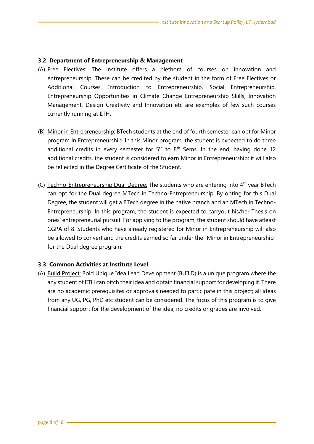#### <span id="page-8-0"></span>**3.2. Department of Entrepreneurship & Management**

- (A) Free Electives: The institute offers a plethora of courses on innovation and entrepreneurship. These can be credited by the student in the form of Free Electives or Additional Courses. Introduction to Entrepreneurship, Social Entrepreneurship, Entrepreneurship Opportunities in Climate Change Entrepreneurship Skills, Innovation Management, Design Creativity and Innovation etc are examples of few such courses currently running at IITH.
- (B) Minor in Entrepreneurship: BTech students at the end of fourth semester can opt for Minor program in Entrepreneurship. In this Minor program, the student is expected to do three additional credits in every semester for  $5<sup>th</sup>$  to  $8<sup>th</sup>$  Sems. In the end, having done 12 additional credits, the student is considered to earn Minor in Entrepreneurship; it will also be reflected in the Degree Certificate of the Student.
- (C) Techno-Entrepreneurship Dual Degree: The students who are entering into  $4<sup>th</sup>$  year BTech can opt for the Dual degree MTech in Techno-Entrepreneurship. By opting for this Dual Degree, the student will get a BTech degree in the native branch and an MTech in Techno-Entrepreneurship. In this program, the student is expected to carryout his/her Thesis on ones' entrepreneurial pursuit. For applying to the program, the student should have atleast CGPA of 8. Students who have already registered for Minor in Entrepreneurship will also be allowed to convert and the credits earned so far under the "Minor in Entrepreneurship" for the Dual degree program.

### <span id="page-8-1"></span>**3.3. Common Activities at Institute Level**

<span id="page-8-2"></span>(A) Build Project: Bold Unique Idea Lead Development (BUILD) is a unique program where the any student of IITH can pitch their idea and obtain financial support for developing it. There are no academic prerequisites or approvals needed to participate in this project; all ideas from any UG, PG, PhD etc student can be considered. The focus of this program is to give financial support for the development of the idea; no credits or grades are involved.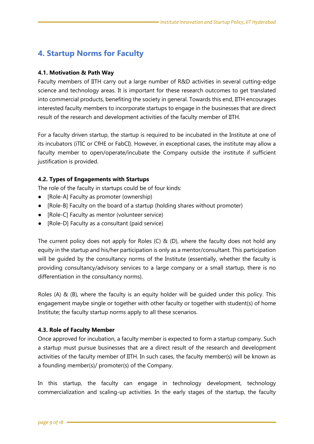### **4. Startup Norms for Faculty**

### <span id="page-9-0"></span>**4.1. Motivation & Path Way**

Faculty members of IITH carry out a large number of R&D activities in several cutting-edge science and technology areas. It is important for these research outcomes to get translated into commercial products, benefiting the society in general. Towards this end, IITH encourages interested faculty members to incorporate startups to engage in the businesses that are direct result of the research and development activities of the faculty member of IITH.

For a faculty driven startup, the startup is required to be incubated in the Institute at one of its incubators (iTIC or CfHE or FabCI). However, in exceptional cases, the institute may allow a faculty member to open/operate/incubate the Company outside the institute if sufficient justification is provided.

### <span id="page-9-1"></span>**4.2. Types of Engagements with Startups**

The role of the faculty in startups could be of four kinds:

- [Role-A] Faculty as promoter (ownership)
- [Role-B] Faculty on the board of a startup (holding shares without promoter)
- [Role-C] Faculty as mentor (volunteer service)
- [Role-D] Faculty as a consultant (paid service)

The current policy does not apply for Roles (C)  $\&$  (D), where the faculty does not hold any equity in the startup and his/her participation is only as a mentor/consultant. This participation will be quided by the consultancy norms of the Institute (essentially, whether the faculty is providing consultancy/advisory services to a large company or a small startup, there is no differentiation in the consultancy norms).

Roles (A) & (B), where the faculty is an equity holder will be guided under this policy. This engagement maybe single or together with other faculty or together with student(s) of home Institute; the faculty startup norms apply to all these scenarios.

### <span id="page-9-2"></span>**4.3. Role of Faculty Member**

Once approved for incubation, a faculty member is expected to form a startup company. Such a startup must pursue businesses that are a direct result of the research and development activities of the faculty member of IITH. In such cases, the faculty member(s) will be known as a founding member(s)/ promoter(s) of the Company.

In this startup, the faculty can engage in technology development, technology commercialization and scaling-up activities. In the early stages of the startup, the faculty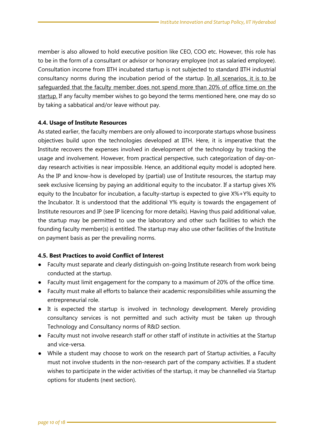member is also allowed to hold executive position like CEO, COO etc. However, this role has to be in the form of a consultant or advisor or honorary employee (not as salaried employee). Consultation income from IITH incubated startup is not subjected to standard IITH industrial consultancy norms during the incubation period of the startup. In all scenarios, it is to be safeguarded that the faculty member does not spend more than 20% of office time on the startup. If any faculty member wishes to go beyond the terms mentioned here, one may do so by taking a sabbatical and/or leave without pay.

#### <span id="page-10-0"></span>**4.4. Usage of Institute Resources**

As stated earlier, the faculty members are only allowed to incorporate startups whose business objectives build upon the technologies developed at IITH. Here, it is imperative that the Institute recovers the expenses involved in development of the technology by tracking the usage and involvement. However, from practical perspective, such categorization of day-onday research activities is near impossible. Hence, an additional equity model is adopted here. As the IP and know-how is developed by (partial) use of Institute resources, the startup may seek exclusive licensing by paying an additional equity to the incubator. If a startup gives X% equity to the Incubator for incubation, a faculty-startup is expected to give X%+Y% equity to the Incubator. It is understood that the additional Y% equity is towards the engagement of Institute resources and IP (see IP licencing for more details). Having thus paid additional value, the startup may be permitted to use the laboratory and other such facilities to which the founding faculty member(s) is entitled. The startup may also use other facilities of the Institute on payment basis as per the prevailing norms.

### <span id="page-10-1"></span>**4.5. Best Practices to avoid Conflict of Interest**

- Faculty must separate and clearly distinguish on-going Institute research from work being conducted at the startup.
- Faculty must limit engagement for the company to a maximum of 20% of the office time.
- Faculty must make all efforts to balance their academic responsibilities while assuming the entrepreneurial role.
- It is expected the startup is involved in technology development. Merely providing consultancy services is not permitted and such activity must be taken up through Technology and Consultancy norms of R&D section.
- Faculty must not involve research staff or other staff of institute in activities at the Startup and vice-versa.
- While a student may choose to work on the research part of Startup activities, a Faculty must not involve students in the non-research part of the company activities. If a student wishes to participate in the wider activities of the startup, it may be channelled via Startup options for students (next section).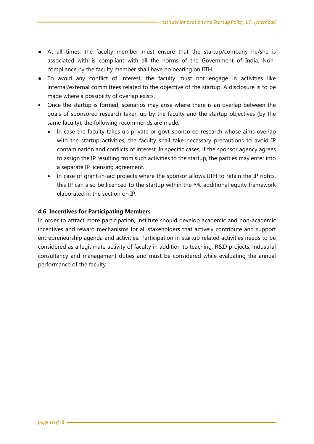- At all times, the faculty member must ensure that the startup/company he/she is associated with is compliant with all the norms of the Government of India. Noncompliance by the faculty member shall have no bearing on IITH.
- To avoid any conflict of interest, the faculty must not engage in activities like internal/external committees related to the objective of the startup. A disclosure is to be made where a possibility of overlap exists.
- Once the startup is formed, scenarios may arise where there is an overlap between the goals of sponsored research taken up by the faculty and the startup objectives (by the same faculty), the following recommends are made:
	- In case the faculty takes up private or govt sponsored research whose aims overlap with the startup activities, the faculty shall take necessary precautions to avoid IP contamination and conflicts of interest. In specific cases, if the sponsor agency agrees to assign the IP resulting from such activities to the startup, the parities may enter into a separate IP licensing agreement.
	- In case of grant-in-aid projects where the sponsor allows IITH to retain the IP rights, this IP can also be licenced to the startup within the Y% additional equity framework elaborated in the section on IP.

### <span id="page-11-0"></span>**4.6. Incentives for Participating Members**

In order to attract more participation, institute should develop academic and non-academic incentives and reward mechanisms for all stakeholders that actively contribute and support entrepreneurship agenda and activities. Participation in startup related activities needs to be considered as a legitimate activity of faculty in addition to teaching, R&D projects, industrial consultancy and management duties and must be considered while evaluating the annual performance of the faculty.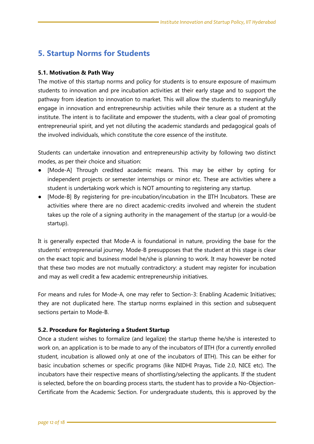### <span id="page-12-0"></span>**5. Startup Norms for Students**

### <span id="page-12-1"></span>**5.1. Motivation & Path Way**

The motive of this startup norms and policy for students is to ensure exposure of maximum students to innovation and pre incubation activities at their early stage and to support the pathway from ideation to innovation to market. This will allow the students to meaningfully engage in innovation and entrepreneurship activities while their tenure as a student at the institute. The intent is to facilitate and empower the students, with a clear goal of promoting entrepreneurial spirit, and yet not diluting the academic standards and pedagogical goals of the involved individuals, which constitute the core essence of the institute.

Students can undertake innovation and entrepreneurship activity by following two distinct modes, as per their choice and situation:

- [Mode-A] Through credited academic means. This may be either by opting for independent projects or semester internships or minor etc. These are activities where a student is undertaking work which is NOT amounting to registering any startup.
- [Mode-B] By registering for pre-incubation/incubation in the IITH Incubators. These are activities where there are no direct academic-credits involved and wherein the student takes up the role of a signing authority in the management of the startup (or a would-be startup).

It is generally expected that Mode-A is foundational in nature, providing the base for the students' entrepreneurial journey. Mode-B presupposes that the student at this stage is clear on the exact topic and business model he/she is planning to work. It may however be noted that these two modes are not mutually contradictory: a student may register for incubation and may as well credit a few academic entrepreneurship initiatives.

For means and rules for Mode-A, one may refer to Section-3: Enabling Academic Initiatives; they are not duplicated here. The startup norms explained in this section and subsequent sections pertain to Mode-B.

### <span id="page-12-2"></span>**5.2. Procedure for Registering a Student Startup**

Once a student wishes to formalize (and legalize) the startup theme he/she is interested to work on, an application is to be made to any of the incubators of IITH (for a currently enrolled student, incubation is allowed only at one of the incubators of IITH). This can be either for basic incubation schemes or specific programs (like NIDHI Prayas, Tide 2.0, NICE etc). The incubators have their respective means of shortlisting/selecting the applicants. If the student is selected, before the on boarding process starts, the student has to provide a No-Objection-Certificate from the Academic Section. For undergraduate students, this is approved by the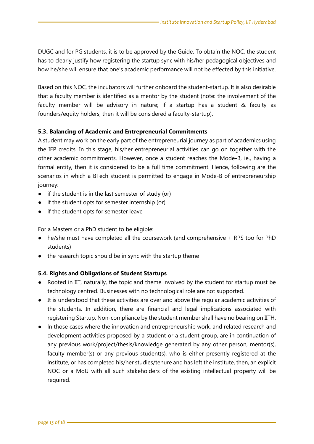DUGC and for PG students, it is to be approved by the Guide. To obtain the NOC, the student has to clearly justify how registering the startup sync with his/her pedagogical objectives and how he/she will ensure that one's academic performance will not be effected by this initiative.

Based on this NOC, the incubators will further onboard the student-startup. It is also desirable that a faculty member is identified as a mentor by the student (note: the involvement of the faculty member will be advisory in nature; if a startup has a student & faculty as founders/equity holders, then it will be considered a faculty-startup).

### <span id="page-13-0"></span>**5.3. Balancing of Academic and Entrepreneurial Commitments**

A student may work on the early part of the entrepreneurial journey as part of academics using the IEP credits. In this stage, his/her entrepreneurial activities can go on together with the other academic commitments. However, once a student reaches the Mode-B, ie., having a formal entity, then it is considered to be a full time commitment. Hence, following are the scenarios in which a BTech student is permitted to engage in Mode-B of entrepreneurship journey:

- if the student is in the last semester of study (or)
- if the student opts for semester internship (or)
- if the student opts for semester leave

For a Masters or a PhD student to be eligible:

- he/she must have completed all the coursework (and comprehensive + RPS too for PhD students)
- the research topic should be in sync with the startup theme

### <span id="page-13-1"></span>**5.4. Rights and Obligations of Student Startups**

- Rooted in IIT, naturally, the topic and theme involved by the student for startup must be technology centred. Businesses with no technological role are not supported.
- It is understood that these activities are over and above the regular academic activities of the students. In addition, there are financial and legal implications associated with registering Startup. Non-compliance by the student member shall have no bearing on IITH.
- ln those cases where the innovation and entrepreneurship work, and related research and development activities proposed by a student or a student group, are in continuation of any previous work/project/thesis/knowledge generated by any other person, mentor(s), faculty member(s) or any previous student(s), who is either presently registered at the institute, or has completed his/her studies/tenure and has left the institute, then, an explicit NOC or a MoU with all such stakeholders of the existing intellectual property will be required.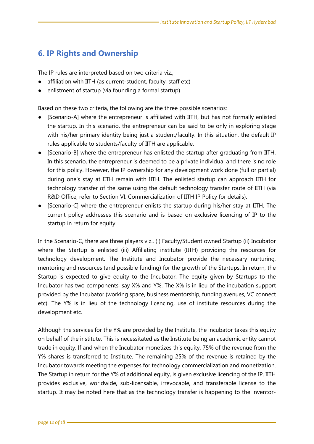### <span id="page-14-0"></span>**6. IP Rights and Ownership**

The IP rules are interpreted based on two criteria viz.,

- affiliation with IITH (as current-student, faculty, staff etc)
- enlistment of startup (via founding a formal startup)

Based on these two criteria, the following are the three possible scenarios:

- [Scenario-A] where the entrepreneur is affiliated with IITH, but has not formally enlisted the startup. In this scenario, the entrepreneur can be said to be only in exploring stage with his/her primary identity being just a student/faculty. In this situation, the default IP rules applicable to students/faculty of IITH are applicable.
- [Scenario-B] where the entrepreneur has enlisted the startup after graduating from IITH. In this scenario, the entrepreneur is deemed to be a private individual and there is no role for this policy. However, the IP ownership for any development work done (full or partial) during one's stay at IITH remain with IITH. The enlisted startup can approach IITH for technology transfer of the same using the default technology transfer route of IITH (via R&D Office; refer to Section VI: Commercialization of IITH IP Policy for details).
- [Scenario-C] where the entrepreneur enlists the startup during his/her stay at IITH. The current policy addresses this scenario and is based on exclusive licencing of IP to the startup in return for equity.

In the Scenario-C, there are three players viz., (i) Faculty/Student owned Startup (ii) Incubator where the Startup is enlisted (iii) Affiliating institute (IITH) providing the resources for technology development. The Institute and Incubator provide the necessary nurturing, mentoring and resources (and possible funding) for the growth of the Startups. In return, the Startup is expected to give equity to the Incubator. The equity given by Startups to the Incubator has two components, say X% and Y%. The X% is in lieu of the incubation support provided by the Incubator (working space, business mentorship, funding avenues, VC connect etc). The Y% is in lieu of the technology licencing, use of institute resources during the development etc.

Although the services for the Y% are provided by the Institute, the incubator takes this equity on behalf of the institute. This is necessitated as the Institute being an academic entity cannot trade in equity. If and when the Incubator monetizes this equity, 75% of the revenue from the Y% shares is transferred to Institute. The remaining 25% of the revenue is retained by the Incubator towards meeting the expenses for technology commercialization and monetization. The Startup in return for the Y% of additional equity, is given exclusive licencing of the IP. IITH provides exclusive, worldwide, sub-licensable, irrevocable, and transferable license to the startup. It may be noted here that as the technology transfer is happening to the inventor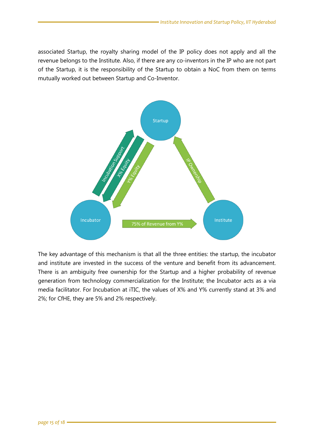associated Startup, the royalty sharing model of the IP policy does not apply and all the revenue belongs to the Institute. Also, if there are any co-inventors in the IP who are not part of the Startup, it is the responsibility of the Startup to obtain a NoC from them on terms mutually worked out between Startup and Co-Inventor.



The key advantage of this mechanism is that all the three entities: the startup, the incubator and institute are invested in the success of the venture and benefit from its advancement. There is an ambiguity free ownership for the Startup and a higher probability of revenue generation from technology commercialization for the Institute; the Incubator acts as a via media facilitator. For Incubation at iTIC, the values of X% and Y% currently stand at 3% and 2%; for CfHE, they are 5% and 2% respectively.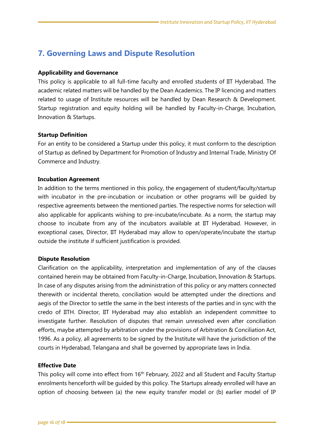### <span id="page-16-0"></span>**7. Governing Laws and Dispute Resolution**

### **Applicability and Governance**

This policy is applicable to all full-time faculty and enrolled students of IIT Hyderabad. The academic related matters will be handled by the Dean Academics. The IP licencing and matters related to usage of Institute resources will be handled by Dean Research & Development. Startup registration and equity holding will be handled by Faculty-in-Charge, Incubation, Innovation & Startups.

### **Startup Definition**

For an entity to be considered a Startup under this policy, it must conform to the description of Startup as defined by Department for Promotion of Industry and Internal Trade, Ministry Of Commerce and Industry.

### **Incubation Agreement**

In addition to the terms mentioned in this policy, the engagement of student/faculty/startup with incubator in the pre-incubation or incubation or other programs will be guided by respective agreements between the mentioned parties. The respective norms for selection will also applicable for applicants wishing to pre-incubate/incubate. As a norm, the startup may choose to incubate from any of the incubators available at IIT Hyderabad. However, in exceptional cases, Director, IIT Hyderabad may allow to open/operate/incubate the startup outside the institute if sufficient justification is provided.

### **Dispute Resolution**

Clarification on the applicability, interpretation and implementation of any of the clauses contained herein may be obtained from Faculty-in-Charge, Incubation, Innovation & Startups. In case of any disputes arising from the administration of this policy or any matters connected therewith or incidental thereto, conciliation would be attempted under the directions and aegis of the Director to settle the same in the best interests of the parties and in sync with the credo of IITH. Director, IIT Hyderabad may also establish an independent committee to investigate further. Resolution of disputes that remain unresolved even after conciliation efforts, maybe attempted by arbitration under the provisions of Arbitration & Conciliation Act, 1996. As a policy, all agreements to be signed by the Institute will have the jurisdiction of the courts in Hyderabad, Telangana and shall be governed by appropriate laws in India.

### **Effective Date**

This policy will come into effect from 16<sup>th</sup> February, 2022 and all Student and Faculty Startup enrolments henceforth will be guided by this policy. The Startups already enrolled will have an option of choosing between (a) the new equity transfer model or (b) earlier model of IP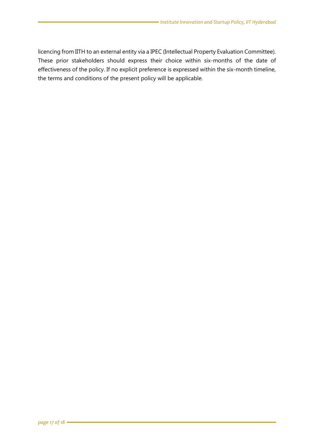licencing from IITH to an external entity via a IPEC (Intellectual Property Evaluation Committee). These prior stakeholders should express their choice within six-months of the date of effectiveness of the policy. If no explicit preference is expressed within the six-month timeline, the terms and conditions of the present policy will be applicable.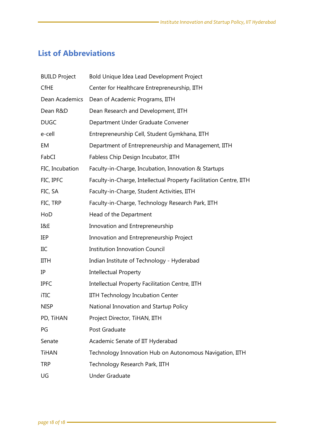## <span id="page-18-0"></span>**List of Abbreviations**

| <b>BUILD Project</b> | Bold Unique Idea Lead Development Project                          |
|----------------------|--------------------------------------------------------------------|
| <b>CfHE</b>          | Center for Healthcare Entrepreneurship, IITH                       |
| Dean Academics       | Dean of Academic Programs, IITH                                    |
| Dean R&D             | Dean Research and Development, IITH                                |
| <b>DUGC</b>          | Department Under Graduate Convener                                 |
| e-cell               | Entrepreneurship Cell, Student Gymkhana, IITH                      |
| EM                   | Department of Entrepreneurship and Management, IITH                |
| FabCI                | Fabless Chip Design Incubator, IITH                                |
| FIC, Incubation      | Faculty-in-Charge, Incubation, Innovation & Startups               |
| FIC, IPFC            | Faculty-in-Charge, Intellectual Property Facilitation Centre, IITH |
| FIC, SA              | Faculty-in-Charge, Student Activities, IITH                        |
| FIC, TRP             | Faculty-in-Charge, Technology Research Park, IITH                  |
| HoD                  | Head of the Department                                             |
| I&E                  | Innovation and Entrepreneurship                                    |
| IEP                  | Innovation and Entrepreneurship Project                            |
| IIC                  | <b>Institution Innovation Council</b>                              |
| <b>IITH</b>          | Indian Institute of Technology - Hyderabad                         |
| IP                   | <b>Intellectual Property</b>                                       |
| <b>IPFC</b>          | Intellectual Property Facilitation Centre, IITH                    |
| iTIC                 | IITH Technology Incubation Center                                  |
| <b>NISP</b>          | National Innovation and Startup Policy                             |
| PD, TiHAN            | Project Director, TiHAN, IITH                                      |
| PG                   | Post Graduate                                                      |
| Senate               | Academic Senate of IIT Hyderabad                                   |
| <b>TiHAN</b>         | Technology Innovation Hub on Autonomous Navigation, IITH           |
| <b>TRP</b>           | Technology Research Park, IITH                                     |
| UG                   | <b>Under Graduate</b>                                              |